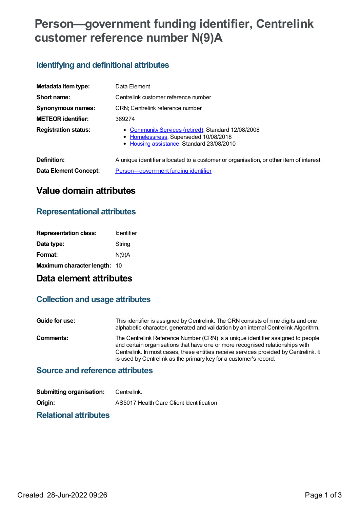# **Person—government funding identifier, Centrelink customer reference number N(9)A**

## **Identifying and definitional attributes**

| Metadata item type:          | Data Element                                                                                                                              |
|------------------------------|-------------------------------------------------------------------------------------------------------------------------------------------|
| Short name:                  | Centrelink customer reference number                                                                                                      |
| Synonymous names:            | CRN; Centrelink reference number                                                                                                          |
| <b>METEOR identifier:</b>    | 369274                                                                                                                                    |
| <b>Registration status:</b>  | • Community Services (retired), Standard 12/08/2008<br>• Homelessness, Superseded 10/08/2018<br>• Housing assistance, Standard 23/08/2010 |
| Definition:                  | A unique identifier allocated to a customer or organisation, or other item of interest.                                                   |
| <b>Data Element Concept:</b> | Person-government funding identifier                                                                                                      |

## **Value domain attributes**

### **Representational attributes**

| <b>Identifier</b>                   |
|-------------------------------------|
| String                              |
| N(9)A                               |
| <b>Maximum character length: 10</b> |
|                                     |

## **Data element attributes**

## **Collection and usage attributes**

| Guide for use: | This identifier is assigned by Centrelink. The CRN consists of nine digits and one<br>alphabetic character, generated and validation by an internal Centrelink Algorithm.                                                                                                                                                      |
|----------------|--------------------------------------------------------------------------------------------------------------------------------------------------------------------------------------------------------------------------------------------------------------------------------------------------------------------------------|
| Comments:      | The Centrelink Reference Number (CRN) is a unique identifier assigned to people<br>and certain organisations that have one or more recognised relationships with<br>Centrelink. In most cases, these entities receive services provided by Centrelink. It<br>is used by Centrelink as the primary key for a customer's record. |

## **Source and reference attributes**

| <b>Submitting organisation:</b> | Centrelink.                              |
|---------------------------------|------------------------------------------|
| Origin:                         | AS5017 Health Care Client Identification |
|                                 |                                          |

#### **Relational attributes**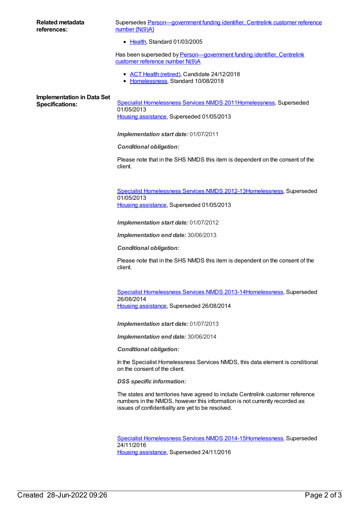| <b>Related metadata</b><br>references:                      | Supersedes Person-government funding identifier, Centrelink customer reference<br>number $\{N(9)A\}$                                                                                                               |
|-------------------------------------------------------------|--------------------------------------------------------------------------------------------------------------------------------------------------------------------------------------------------------------------|
|                                                             | • Health, Standard 01/03/2005                                                                                                                                                                                      |
|                                                             | Has been superseded by Person-government funding identifier, Centrelink<br>customer reference number N(9)A                                                                                                         |
|                                                             | • ACT Health (retired), Candidate 24/12/2018<br>• Homelessness, Standard 10/08/2018                                                                                                                                |
| <b>Implementation in Data Set</b><br><b>Specifications:</b> | Specialist Homelessness Services NMDS 2011Homelessness, Superseded<br>01/05/2013<br>Housing assistance, Superseded 01/05/2013                                                                                      |
|                                                             | Implementation start date: 01/07/2011                                                                                                                                                                              |
|                                                             | <b>Conditional obligation:</b>                                                                                                                                                                                     |
|                                                             | Please note that in the SHS NMDS this item is dependent on the consent of the<br>client.                                                                                                                           |
|                                                             | Specialist Homelessness Services NMDS 2012-13 Homelessness, Superseded<br>01/05/2013<br>Housing assistance, Superseded 01/05/2013                                                                                  |
|                                                             | Implementation start date: 01/07/2012                                                                                                                                                                              |
|                                                             | Implementation end date: 30/06/2013                                                                                                                                                                                |
|                                                             | <b>Conditional obligation:</b>                                                                                                                                                                                     |
|                                                             | Please note that in the SHS NMDS this item is dependent on the consent of the<br>client.                                                                                                                           |
|                                                             | Specialist Homelessness Services NMDS 2013-14 Homelessness, Superseded<br>26/08/2014<br>Housing assistance, Superseded 26/08/2014                                                                                  |
|                                                             | Implementation start date: 01/07/2013                                                                                                                                                                              |
|                                                             | Implementation end date: 30/06/2014                                                                                                                                                                                |
|                                                             | <b>Conditional obligation:</b>                                                                                                                                                                                     |
|                                                             | In the Specialist Homelessness Services NMDS, this data element is conditional<br>on the consent of the client.                                                                                                    |
|                                                             | <b>DSS</b> specific information:                                                                                                                                                                                   |
|                                                             | The states and territories have agreed to include Centrelink customer reference<br>numbers in the NMDS, however this information is not currently recorded as<br>issues of confidentiality are yet to be resolved. |
|                                                             | Specialist Homelessness Services NMDS 2014-15Homelessness, Superseded<br>24/11/2016<br>Housing assistance, Superseded 24/11/2016                                                                                   |